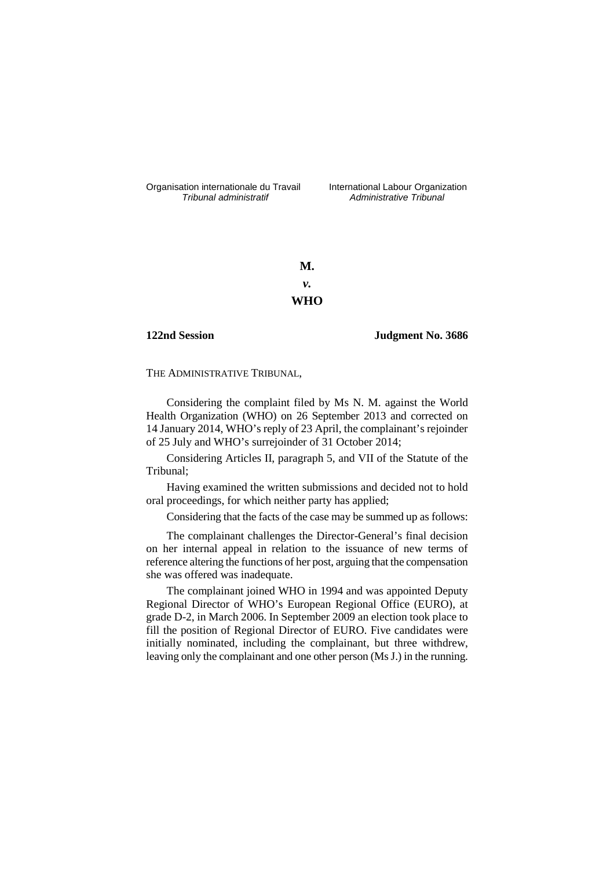Organisation internationale du Travail liternational Labour Organization<br>
Tribunal administratif commistrative Tribunal

Administrative Tribunal

**M.**  *v.*  **WHO** 

**122nd Session Judgment No. 3686**

THE ADMINISTRATIVE TRIBUNAL,

Considering the complaint filed by Ms N. M. against the World Health Organization (WHO) on 26 September 2013 and corrected on 14 January 2014, WHO's reply of 23 April, the complainant's rejoinder of 25 July and WHO's surrejoinder of 31 October 2014;

Considering Articles II, paragraph 5, and VII of the Statute of the Tribunal;

Having examined the written submissions and decided not to hold oral proceedings, for which neither party has applied;

Considering that the facts of the case may be summed up as follows:

The complainant challenges the Director-General's final decision on her internal appeal in relation to the issuance of new terms of reference altering the functions of her post, arguing that the compensation she was offered was inadequate.

The complainant joined WHO in 1994 and was appointed Deputy Regional Director of WHO's European Regional Office (EURO), at grade D-2, in March 2006. In September 2009 an election took place to fill the position of Regional Director of EURO. Five candidates were initially nominated, including the complainant, but three withdrew, leaving only the complainant and one other person (Ms J.) in the running.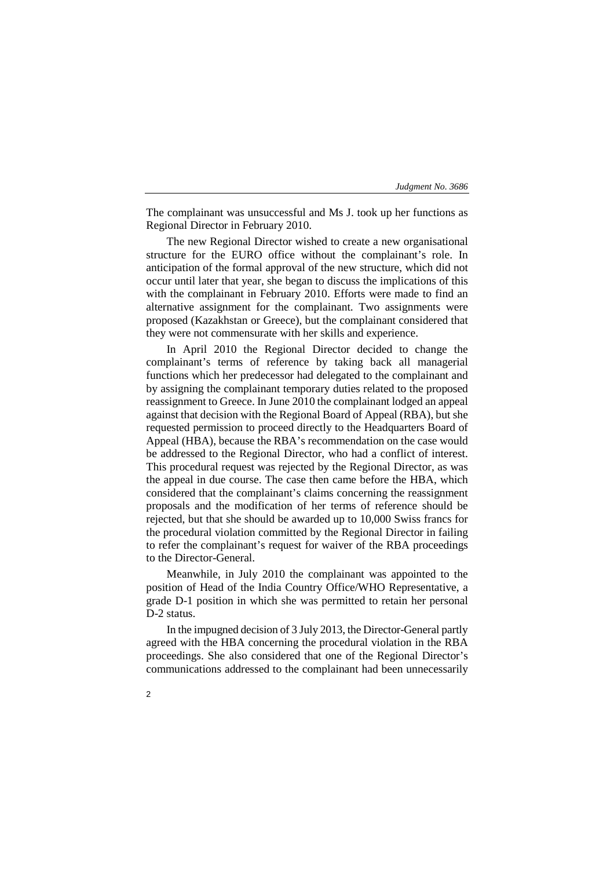The complainant was unsuccessful and Ms J. took up her functions as Regional Director in February 2010.

The new Regional Director wished to create a new organisational structure for the EURO office without the complainant's role. In anticipation of the formal approval of the new structure, which did not occur until later that year, she began to discuss the implications of this with the complainant in February 2010. Efforts were made to find an alternative assignment for the complainant. Two assignments were proposed (Kazakhstan or Greece), but the complainant considered that they were not commensurate with her skills and experience.

In April 2010 the Regional Director decided to change the complainant's terms of reference by taking back all managerial functions which her predecessor had delegated to the complainant and by assigning the complainant temporary duties related to the proposed reassignment to Greece. In June 2010 the complainant lodged an appeal against that decision with the Regional Board of Appeal (RBA), but she requested permission to proceed directly to the Headquarters Board of Appeal (HBA), because the RBA's recommendation on the case would be addressed to the Regional Director, who had a conflict of interest. This procedural request was rejected by the Regional Director, as was the appeal in due course. The case then came before the HBA, which considered that the complainant's claims concerning the reassignment proposals and the modification of her terms of reference should be rejected, but that she should be awarded up to 10,000 Swiss francs for the procedural violation committed by the Regional Director in failing to refer the complainant's request for waiver of the RBA proceedings to the Director-General.

Meanwhile, in July 2010 the complainant was appointed to the position of Head of the India Country Office/WHO Representative, a grade D-1 position in which she was permitted to retain her personal D-2 status.

In the impugned decision of 3 July 2013, the Director-General partly agreed with the HBA concerning the procedural violation in the RBA proceedings. She also considered that one of the Regional Director's communications addressed to the complainant had been unnecessarily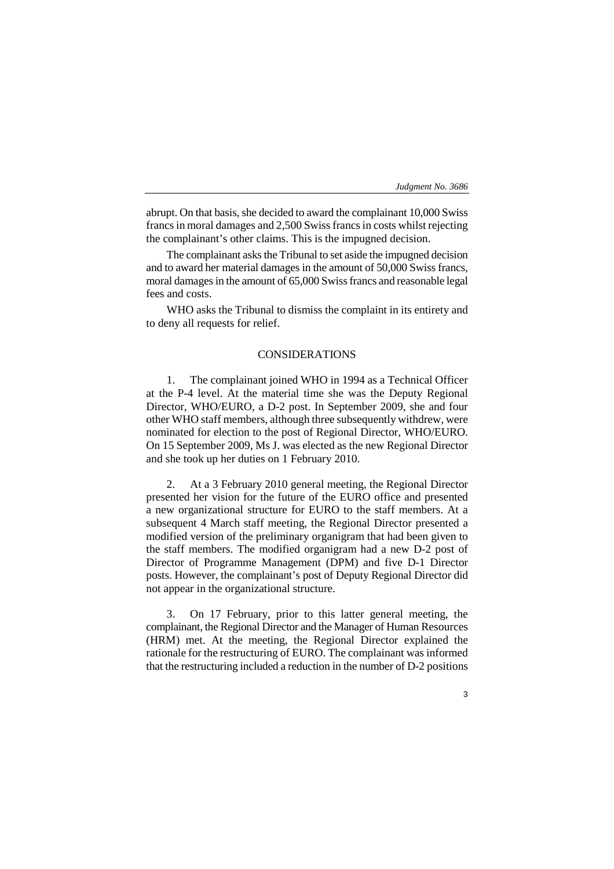3

abrupt. On that basis, she decided to award the complainant 10,000 Swiss francs in moral damages and 2,500 Swiss francs in costs whilst rejecting the complainant's other claims. This is the impugned decision.

The complainant asks the Tribunal to set aside the impugned decision and to award her material damages in the amount of 50,000 Swiss francs, moral damages in the amount of 65,000 Swiss francs and reasonable legal fees and costs.

WHO asks the Tribunal to dismiss the complaint in its entirety and to deny all requests for relief.

# CONSIDERATIONS

1. The complainant joined WHO in 1994 as a Technical Officer at the P-4 level. At the material time she was the Deputy Regional Director, WHO/EURO, a D-2 post. In September 2009, she and four other WHO staff members, although three subsequently withdrew, were nominated for election to the post of Regional Director, WHO/EURO. On 15 September 2009, Ms J. was elected as the new Regional Director and she took up her duties on 1 February 2010.

2. At a 3 February 2010 general meeting, the Regional Director presented her vision for the future of the EURO office and presented a new organizational structure for EURO to the staff members. At a subsequent 4 March staff meeting, the Regional Director presented a modified version of the preliminary organigram that had been given to the staff members. The modified organigram had a new D-2 post of Director of Programme Management (DPM) and five D-1 Director posts. However, the complainant's post of Deputy Regional Director did not appear in the organizational structure.

3. On 17 February, prior to this latter general meeting, the complainant, the Regional Director and the Manager of Human Resources (HRM) met. At the meeting, the Regional Director explained the rationale for the restructuring of EURO. The complainant was informed that the restructuring included a reduction in the number of D-2 positions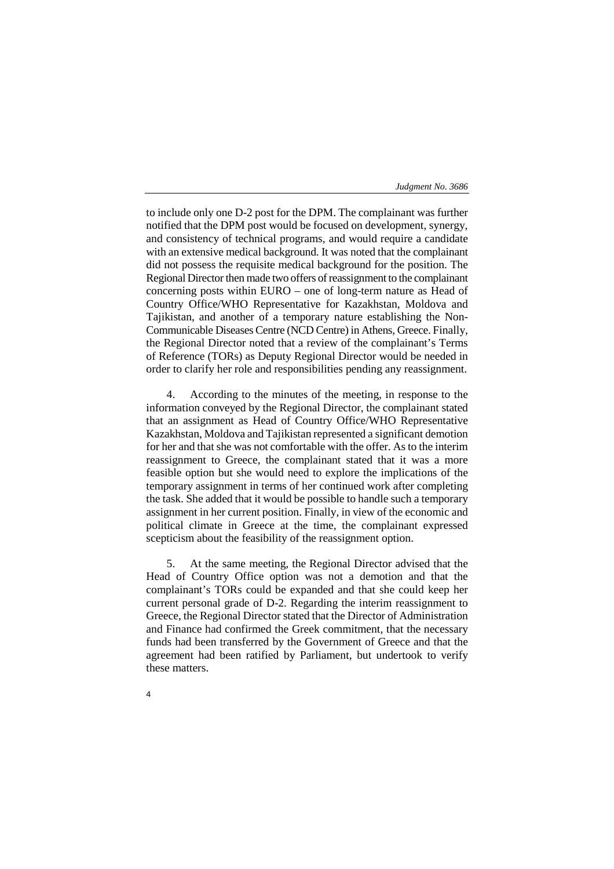to include only one D-2 post for the DPM. The complainant was further notified that the DPM post would be focused on development, synergy, and consistency of technical programs, and would require a candidate with an extensive medical background. It was noted that the complainant did not possess the requisite medical background for the position. The Regional Director then made two offers of reassignment to the complainant concerning posts within EURO – one of long-term nature as Head of Country Office/WHO Representative for Kazakhstan, Moldova and Tajikistan, and another of a temporary nature establishing the Non-Communicable Diseases Centre (NCD Centre) in Athens, Greece. Finally, the Regional Director noted that a review of the complainant's Terms of Reference (TORs) as Deputy Regional Director would be needed in order to clarify her role and responsibilities pending any reassignment.

4. According to the minutes of the meeting, in response to the information conveyed by the Regional Director, the complainant stated that an assignment as Head of Country Office/WHO Representative Kazakhstan, Moldova and Tajikistan represented a significant demotion for her and that she was not comfortable with the offer. As to the interim reassignment to Greece, the complainant stated that it was a more feasible option but she would need to explore the implications of the temporary assignment in terms of her continued work after completing the task. She added that it would be possible to handle such a temporary assignment in her current position. Finally, in view of the economic and political climate in Greece at the time, the complainant expressed scepticism about the feasibility of the reassignment option.

5. At the same meeting, the Regional Director advised that the Head of Country Office option was not a demotion and that the complainant's TORs could be expanded and that she could keep her current personal grade of D-2. Regarding the interim reassignment to Greece, the Regional Director stated that the Director of Administration and Finance had confirmed the Greek commitment, that the necessary funds had been transferred by the Government of Greece and that the agreement had been ratified by Parliament, but undertook to verify these matters.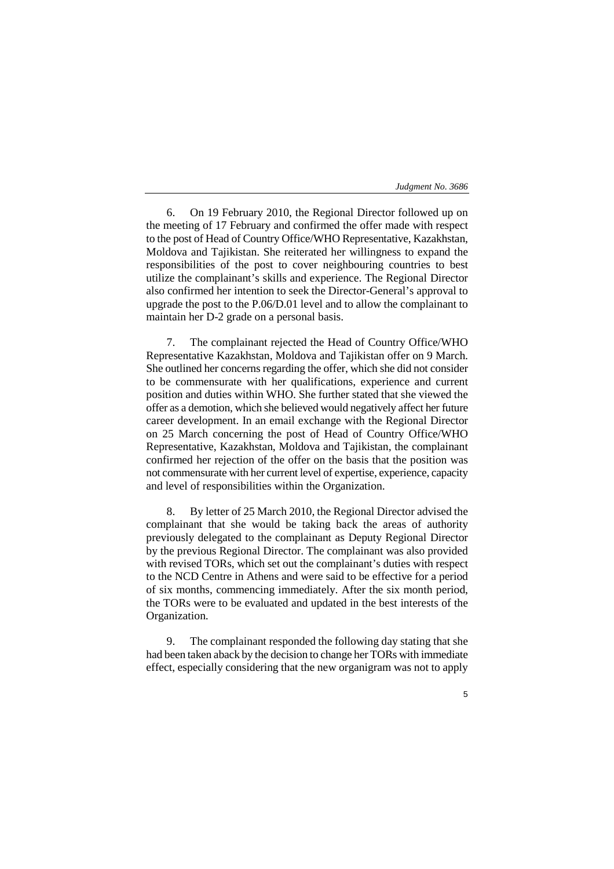6. On 19 February 2010, the Regional Director followed up on the meeting of 17 February and confirmed the offer made with respect to the post of Head of Country Office/WHO Representative, Kazakhstan, Moldova and Tajikistan. She reiterated her willingness to expand the responsibilities of the post to cover neighbouring countries to best utilize the complainant's skills and experience. The Regional Director also confirmed her intention to seek the Director-General's approval to upgrade the post to the P.06/D.01 level and to allow the complainant to maintain her D-2 grade on a personal basis.

7. The complainant rejected the Head of Country Office/WHO Representative Kazakhstan, Moldova and Tajikistan offer on 9 March. She outlined her concerns regarding the offer, which she did not consider to be commensurate with her qualifications, experience and current position and duties within WHO. She further stated that she viewed the offer as a demotion, which she believed would negatively affect her future career development. In an email exchange with the Regional Director on 25 March concerning the post of Head of Country Office/WHO Representative, Kazakhstan, Moldova and Tajikistan, the complainant confirmed her rejection of the offer on the basis that the position was not commensurate with her current level of expertise, experience, capacity and level of responsibilities within the Organization.

8. By letter of 25 March 2010, the Regional Director advised the complainant that she would be taking back the areas of authority previously delegated to the complainant as Deputy Regional Director by the previous Regional Director. The complainant was also provided with revised TORs, which set out the complainant's duties with respect to the NCD Centre in Athens and were said to be effective for a period of six months, commencing immediately. After the six month period, the TORs were to be evaluated and updated in the best interests of the Organization.

9. The complainant responded the following day stating that she had been taken aback by the decision to change her TORs with immediate effect, especially considering that the new organigram was not to apply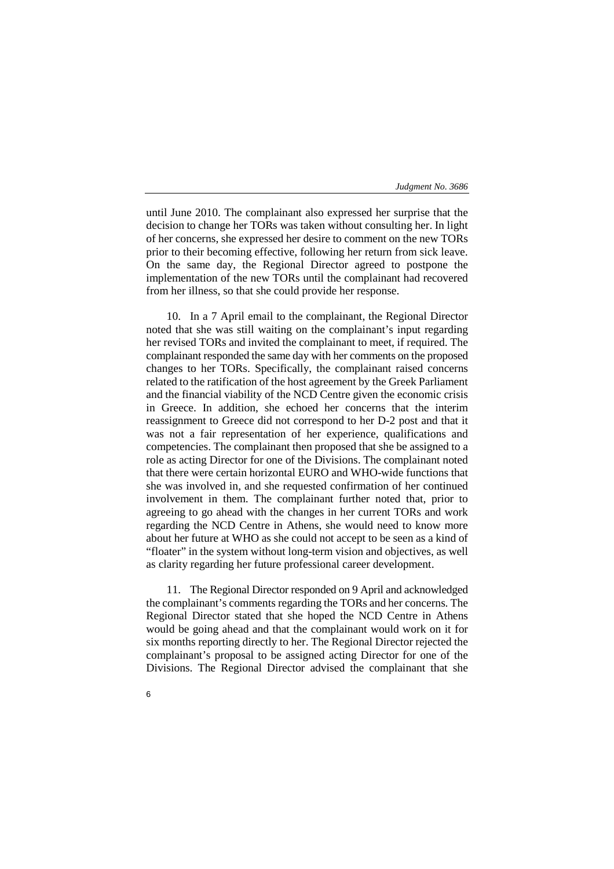until June 2010. The complainant also expressed her surprise that the decision to change her TORs was taken without consulting her. In light of her concerns, she expressed her desire to comment on the new TORs prior to their becoming effective, following her return from sick leave. On the same day, the Regional Director agreed to postpone the implementation of the new TORs until the complainant had recovered from her illness, so that she could provide her response.

10. In a 7 April email to the complainant, the Regional Director noted that she was still waiting on the complainant's input regarding her revised TORs and invited the complainant to meet, if required. The complainant responded the same day with her comments on the proposed changes to her TORs. Specifically, the complainant raised concerns related to the ratification of the host agreement by the Greek Parliament and the financial viability of the NCD Centre given the economic crisis in Greece. In addition, she echoed her concerns that the interim reassignment to Greece did not correspond to her D-2 post and that it was not a fair representation of her experience, qualifications and competencies. The complainant then proposed that she be assigned to a role as acting Director for one of the Divisions. The complainant noted that there were certain horizontal EURO and WHO-wide functions that she was involved in, and she requested confirmation of her continued involvement in them. The complainant further noted that, prior to agreeing to go ahead with the changes in her current TORs and work regarding the NCD Centre in Athens, she would need to know more about her future at WHO as she could not accept to be seen as a kind of "floater" in the system without long-term vision and objectives, as well as clarity regarding her future professional career development.

11. The Regional Director responded on 9 April and acknowledged the complainant's comments regarding the TORs and her concerns. The Regional Director stated that she hoped the NCD Centre in Athens would be going ahead and that the complainant would work on it for six months reporting directly to her. The Regional Director rejected the complainant's proposal to be assigned acting Director for one of the Divisions. The Regional Director advised the complainant that she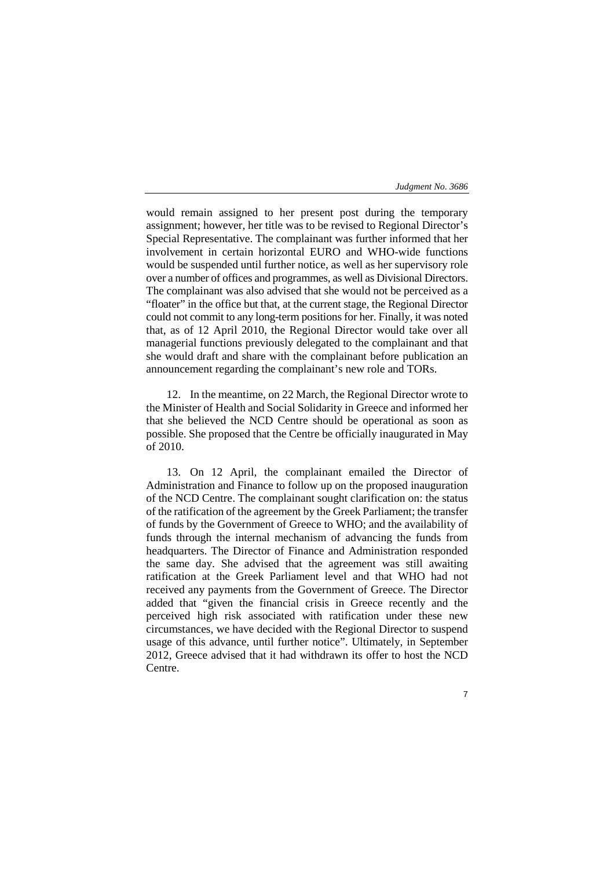7

would remain assigned to her present post during the temporary assignment; however, her title was to be revised to Regional Director's Special Representative. The complainant was further informed that her involvement in certain horizontal EURO and WHO-wide functions would be suspended until further notice, as well as her supervisory role over a number of offices and programmes, as well as Divisional Directors. The complainant was also advised that she would not be perceived as a "floater" in the office but that, at the current stage, the Regional Director could not commit to any long-term positions for her. Finally, it was noted that, as of 12 April 2010, the Regional Director would take over all managerial functions previously delegated to the complainant and that she would draft and share with the complainant before publication an announcement regarding the complainant's new role and TORs.

12. In the meantime, on 22 March, the Regional Director wrote to the Minister of Health and Social Solidarity in Greece and informed her that she believed the NCD Centre should be operational as soon as possible. She proposed that the Centre be officially inaugurated in May of 2010.

13. On 12 April, the complainant emailed the Director of Administration and Finance to follow up on the proposed inauguration of the NCD Centre. The complainant sought clarification on: the status of the ratification of the agreement by the Greek Parliament; the transfer of funds by the Government of Greece to WHO; and the availability of funds through the internal mechanism of advancing the funds from headquarters. The Director of Finance and Administration responded the same day. She advised that the agreement was still awaiting ratification at the Greek Parliament level and that WHO had not received any payments from the Government of Greece. The Director added that "given the financial crisis in Greece recently and the perceived high risk associated with ratification under these new circumstances, we have decided with the Regional Director to suspend usage of this advance, until further notice". Ultimately, in September 2012, Greece advised that it had withdrawn its offer to host the NCD Centre.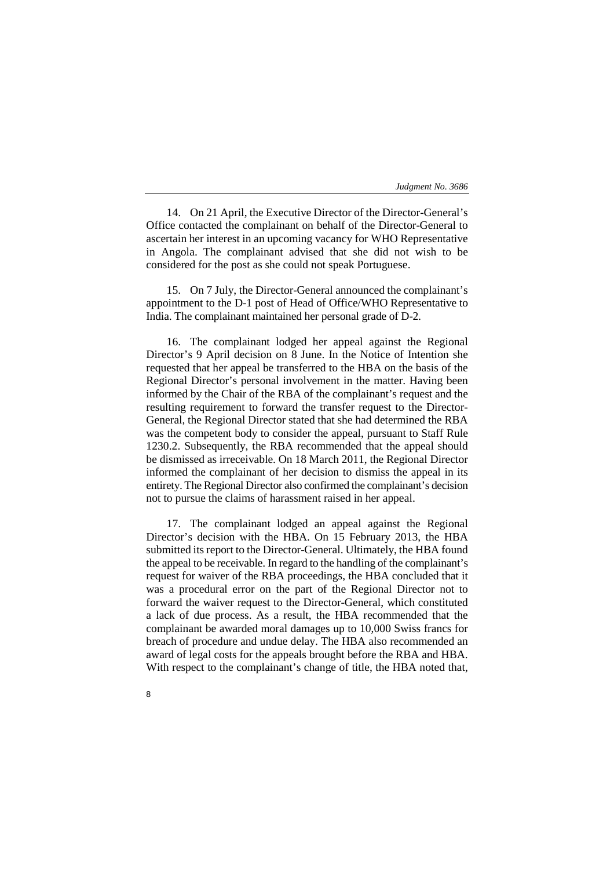14. On 21 April, the Executive Director of the Director-General's Office contacted the complainant on behalf of the Director-General to ascertain her interest in an upcoming vacancy for WHO Representative in Angola. The complainant advised that she did not wish to be considered for the post as she could not speak Portuguese.

15. On 7 July, the Director-General announced the complainant's appointment to the D-1 post of Head of Office/WHO Representative to India. The complainant maintained her personal grade of D-2.

16. The complainant lodged her appeal against the Regional Director's 9 April decision on 8 June. In the Notice of Intention she requested that her appeal be transferred to the HBA on the basis of the Regional Director's personal involvement in the matter. Having been informed by the Chair of the RBA of the complainant's request and the resulting requirement to forward the transfer request to the Director-General, the Regional Director stated that she had determined the RBA was the competent body to consider the appeal, pursuant to Staff Rule 1230.2. Subsequently, the RBA recommended that the appeal should be dismissed as irreceivable. On 18 March 2011, the Regional Director informed the complainant of her decision to dismiss the appeal in its entirety. The Regional Director also confirmed the complainant's decision not to pursue the claims of harassment raised in her appeal.

17. The complainant lodged an appeal against the Regional Director's decision with the HBA. On 15 February 2013, the HBA submitted its report to the Director-General. Ultimately, the HBA found the appeal to be receivable. In regard to the handling of the complainant's request for waiver of the RBA proceedings, the HBA concluded that it was a procedural error on the part of the Regional Director not to forward the waiver request to the Director-General, which constituted a lack of due process. As a result, the HBA recommended that the complainant be awarded moral damages up to 10,000 Swiss francs for breach of procedure and undue delay. The HBA also recommended an award of legal costs for the appeals brought before the RBA and HBA. With respect to the complainant's change of title, the HBA noted that,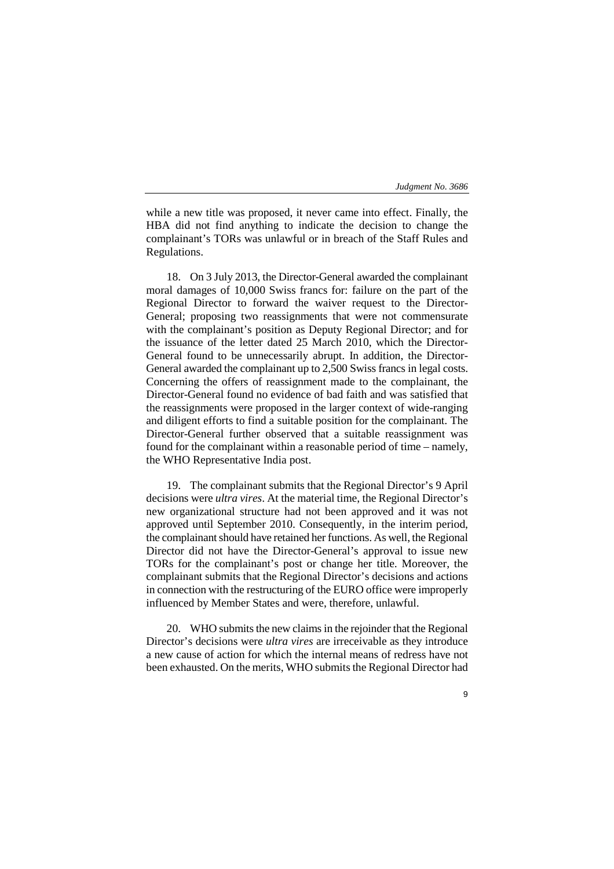while a new title was proposed, it never came into effect. Finally, the HBA did not find anything to indicate the decision to change the complainant's TORs was unlawful or in breach of the Staff Rules and Regulations.

18. On 3 July 2013, the Director-General awarded the complainant moral damages of 10,000 Swiss francs for: failure on the part of the Regional Director to forward the waiver request to the Director-General; proposing two reassignments that were not commensurate with the complainant's position as Deputy Regional Director; and for the issuance of the letter dated 25 March 2010, which the Director-General found to be unnecessarily abrupt. In addition, the Director-General awarded the complainant up to 2,500 Swiss francs in legal costs. Concerning the offers of reassignment made to the complainant, the Director-General found no evidence of bad faith and was satisfied that the reassignments were proposed in the larger context of wide-ranging and diligent efforts to find a suitable position for the complainant. The Director-General further observed that a suitable reassignment was found for the complainant within a reasonable period of time – namely, the WHO Representative India post.

19. The complainant submits that the Regional Director's 9 April decisions were *ultra vires*. At the material time, the Regional Director's new organizational structure had not been approved and it was not approved until September 2010. Consequently, in the interim period, the complainant should have retained her functions. As well, the Regional Director did not have the Director-General's approval to issue new TORs for the complainant's post or change her title. Moreover, the complainant submits that the Regional Director's decisions and actions in connection with the restructuring of the EURO office were improperly influenced by Member States and were, therefore, unlawful.

20. WHO submits the new claims in the rejoinder that the Regional Director's decisions were *ultra vires* are irreceivable as they introduce a new cause of action for which the internal means of redress have not been exhausted. On the merits, WHO submits the Regional Director had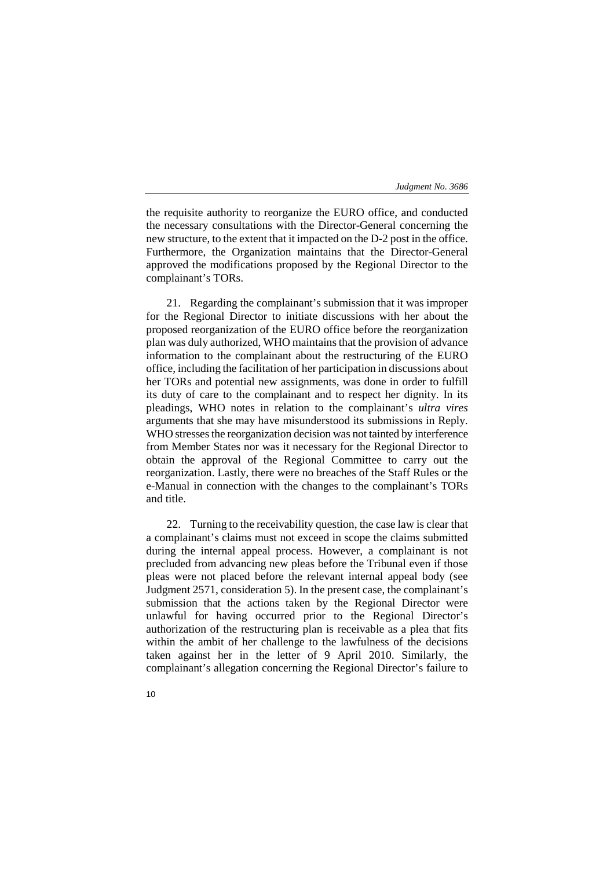the requisite authority to reorganize the EURO office, and conducted the necessary consultations with the Director-General concerning the new structure, to the extent that it impacted on the D-2 post in the office. Furthermore, the Organization maintains that the Director-General approved the modifications proposed by the Regional Director to the complainant's TORs.

21. Regarding the complainant's submission that it was improper for the Regional Director to initiate discussions with her about the proposed reorganization of the EURO office before the reorganization plan was duly authorized, WHO maintains that the provision of advance information to the complainant about the restructuring of the EURO office, including the facilitation of her participation in discussions about her TORs and potential new assignments, was done in order to fulfill its duty of care to the complainant and to respect her dignity. In its pleadings, WHO notes in relation to the complainant's *ultra vires* arguments that she may have misunderstood its submissions in Reply. WHO stresses the reorganization decision was not tainted by interference from Member States nor was it necessary for the Regional Director to obtain the approval of the Regional Committee to carry out the reorganization. Lastly, there were no breaches of the Staff Rules or the e-Manual in connection with the changes to the complainant's TORs and title.

22. Turning to the receivability question, the case law is clear that a complainant's claims must not exceed in scope the claims submitted during the internal appeal process. However, a complainant is not precluded from advancing new pleas before the Tribunal even if those pleas were not placed before the relevant internal appeal body (see Judgment 2571, consideration 5). In the present case, the complainant's submission that the actions taken by the Regional Director were unlawful for having occurred prior to the Regional Director's authorization of the restructuring plan is receivable as a plea that fits within the ambit of her challenge to the lawfulness of the decisions taken against her in the letter of 9 April 2010. Similarly, the complainant's allegation concerning the Regional Director's failure to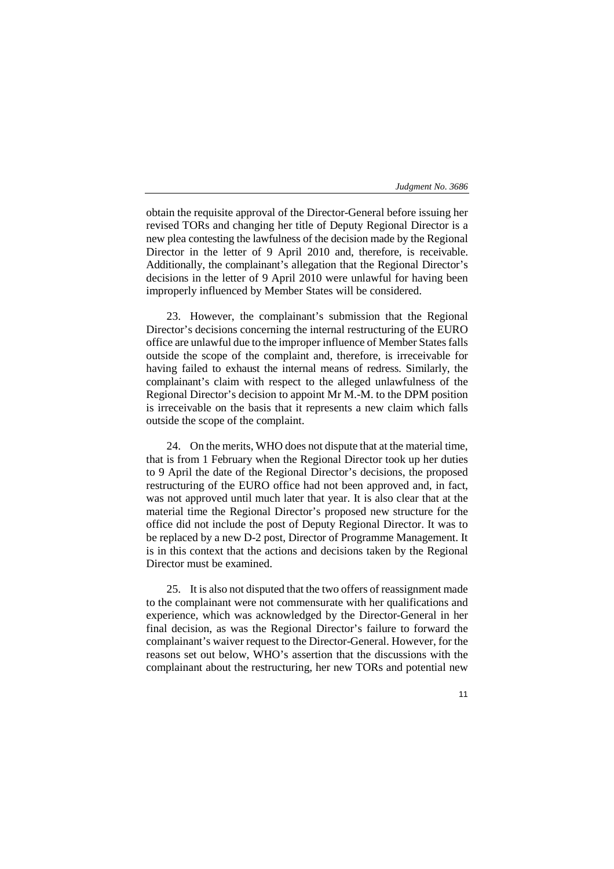obtain the requisite approval of the Director-General before issuing her revised TORs and changing her title of Deputy Regional Director is a new plea contesting the lawfulness of the decision made by the Regional Director in the letter of 9 April 2010 and, therefore, is receivable. Additionally, the complainant's allegation that the Regional Director's decisions in the letter of 9 April 2010 were unlawful for having been improperly influenced by Member States will be considered.

23. However, the complainant's submission that the Regional Director's decisions concerning the internal restructuring of the EURO office are unlawful due to the improper influence of Member States falls outside the scope of the complaint and, therefore, is irreceivable for having failed to exhaust the internal means of redress. Similarly, the complainant's claim with respect to the alleged unlawfulness of the Regional Director's decision to appoint Mr M.-M. to the DPM position is irreceivable on the basis that it represents a new claim which falls outside the scope of the complaint.

24. On the merits, WHO does not dispute that at the material time, that is from 1 February when the Regional Director took up her duties to 9 April the date of the Regional Director's decisions, the proposed restructuring of the EURO office had not been approved and, in fact, was not approved until much later that year. It is also clear that at the material time the Regional Director's proposed new structure for the office did not include the post of Deputy Regional Director. It was to be replaced by a new D-2 post, Director of Programme Management. It is in this context that the actions and decisions taken by the Regional Director must be examined.

25. It is also not disputed that the two offers of reassignment made to the complainant were not commensurate with her qualifications and experience, which was acknowledged by the Director-General in her final decision, as was the Regional Director's failure to forward the complainant's waiver request to the Director-General. However, for the reasons set out below, WHO's assertion that the discussions with the complainant about the restructuring, her new TORs and potential new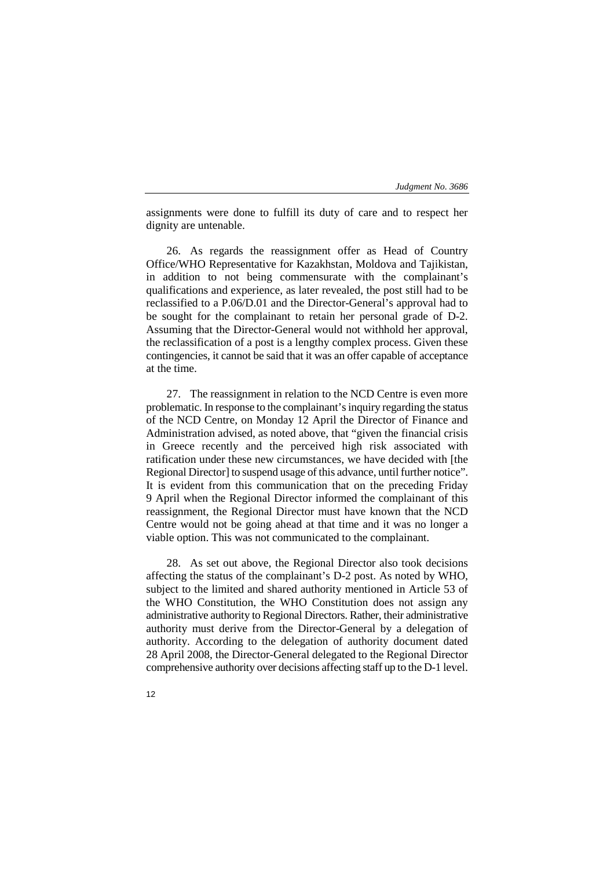assignments were done to fulfill its duty of care and to respect her dignity are untenable.

26. As regards the reassignment offer as Head of Country Office/WHO Representative for Kazakhstan, Moldova and Tajikistan, in addition to not being commensurate with the complainant's qualifications and experience, as later revealed, the post still had to be reclassified to a P.06/D.01 and the Director-General's approval had to be sought for the complainant to retain her personal grade of D-2. Assuming that the Director-General would not withhold her approval, the reclassification of a post is a lengthy complex process. Given these contingencies, it cannot be said that it was an offer capable of acceptance at the time.

27. The reassignment in relation to the NCD Centre is even more problematic. In response to the complainant's inquiry regarding the status of the NCD Centre, on Monday 12 April the Director of Finance and Administration advised, as noted above, that "given the financial crisis in Greece recently and the perceived high risk associated with ratification under these new circumstances, we have decided with [the Regional Director] to suspend usage of this advance, until further notice". It is evident from this communication that on the preceding Friday 9 April when the Regional Director informed the complainant of this reassignment, the Regional Director must have known that the NCD Centre would not be going ahead at that time and it was no longer a viable option. This was not communicated to the complainant.

28. As set out above, the Regional Director also took decisions affecting the status of the complainant's D-2 post. As noted by WHO, subject to the limited and shared authority mentioned in Article 53 of the WHO Constitution, the WHO Constitution does not assign any administrative authority to Regional Directors. Rather, their administrative authority must derive from the Director-General by a delegation of authority. According to the delegation of authority document dated 28 April 2008, the Director-General delegated to the Regional Director comprehensive authority over decisions affecting staff up to the D-1 level.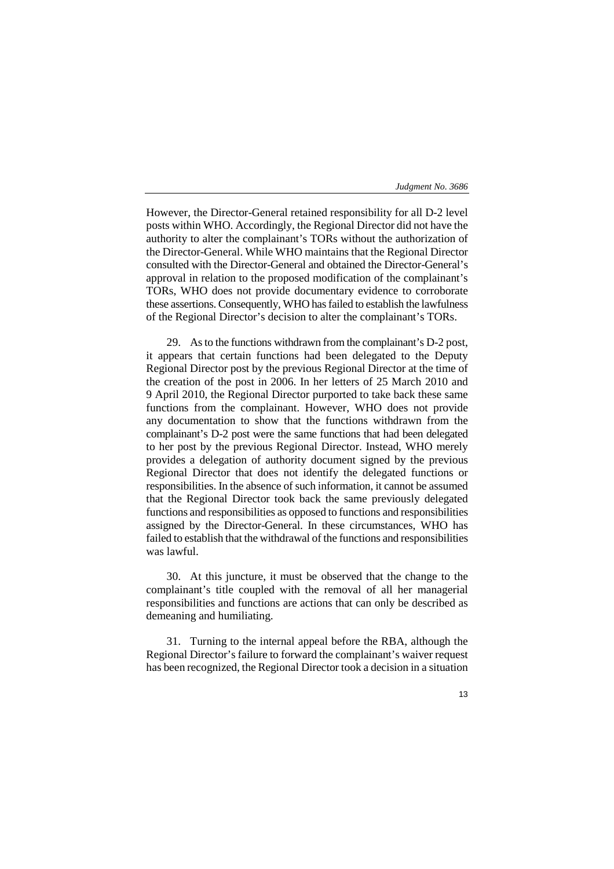However, the Director-General retained responsibility for all D-2 level posts within WHO. Accordingly, the Regional Director did not have the authority to alter the complainant's TORs without the authorization of the Director-General. While WHO maintains that the Regional Director consulted with the Director-General and obtained the Director-General's approval in relation to the proposed modification of the complainant's TORs, WHO does not provide documentary evidence to corroborate these assertions. Consequently, WHO has failed to establish the lawfulness of the Regional Director's decision to alter the complainant's TORs.

29. As to the functions withdrawn from the complainant's D-2 post, it appears that certain functions had been delegated to the Deputy Regional Director post by the previous Regional Director at the time of the creation of the post in 2006. In her letters of 25 March 2010 and 9 April 2010, the Regional Director purported to take back these same functions from the complainant. However, WHO does not provide any documentation to show that the functions withdrawn from the complainant's D-2 post were the same functions that had been delegated to her post by the previous Regional Director. Instead, WHO merely provides a delegation of authority document signed by the previous Regional Director that does not identify the delegated functions or responsibilities. In the absence of such information, it cannot be assumed that the Regional Director took back the same previously delegated functions and responsibilities as opposed to functions and responsibilities assigned by the Director-General. In these circumstances, WHO has failed to establish that the withdrawal of the functions and responsibilities was lawful.

30. At this juncture, it must be observed that the change to the complainant's title coupled with the removal of all her managerial responsibilities and functions are actions that can only be described as demeaning and humiliating.

31. Turning to the internal appeal before the RBA, although the Regional Director's failure to forward the complainant's waiver request has been recognized, the Regional Director took a decision in a situation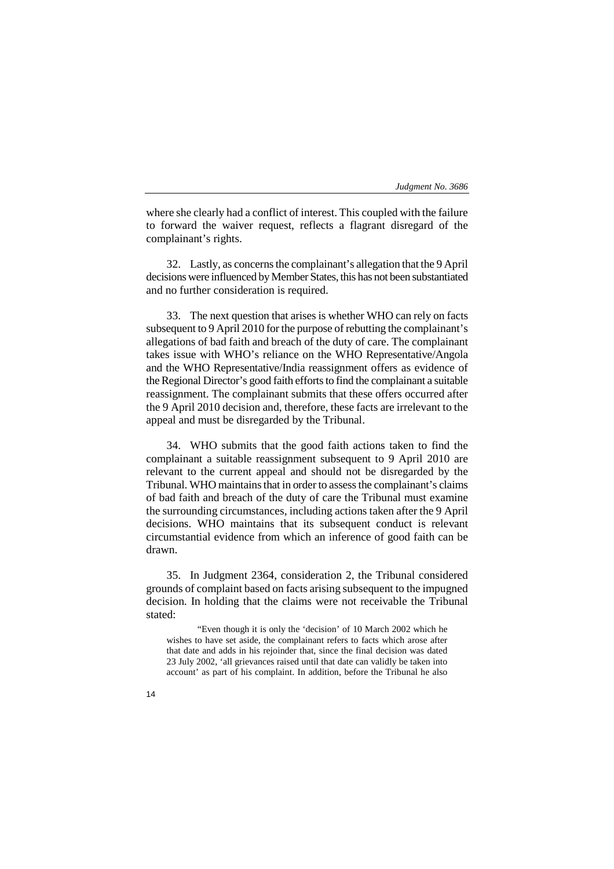where she clearly had a conflict of interest. This coupled with the failure to forward the waiver request, reflects a flagrant disregard of the complainant's rights.

32. Lastly, as concerns the complainant's allegation that the 9 April decisions were influenced by Member States, this has not been substantiated and no further consideration is required.

33. The next question that arises is whether WHO can rely on facts subsequent to 9 April 2010 for the purpose of rebutting the complainant's allegations of bad faith and breach of the duty of care. The complainant takes issue with WHO's reliance on the WHO Representative/Angola and the WHO Representative/India reassignment offers as evidence of the Regional Director's good faith efforts to find the complainant a suitable reassignment. The complainant submits that these offers occurred after the 9 April 2010 decision and, therefore, these facts are irrelevant to the appeal and must be disregarded by the Tribunal.

34. WHO submits that the good faith actions taken to find the complainant a suitable reassignment subsequent to 9 April 2010 are relevant to the current appeal and should not be disregarded by the Tribunal. WHO maintains that in order to assess the complainant's claims of bad faith and breach of the duty of care the Tribunal must examine the surrounding circumstances, including actions taken after the 9 April decisions. WHO maintains that its subsequent conduct is relevant circumstantial evidence from which an inference of good faith can be drawn.

35. In Judgment 2364, consideration 2, the Tribunal considered grounds of complaint based on facts arising subsequent to the impugned decision. In holding that the claims were not receivable the Tribunal stated:

"Even though it is only the 'decision' of 10 March 2002 which he wishes to have set aside, the complainant refers to facts which arose after that date and adds in his rejoinder that, since the final decision was dated 23 July 2002, 'all grievances raised until that date can validly be taken into account' as part of his complaint. In addition, before the Tribunal he also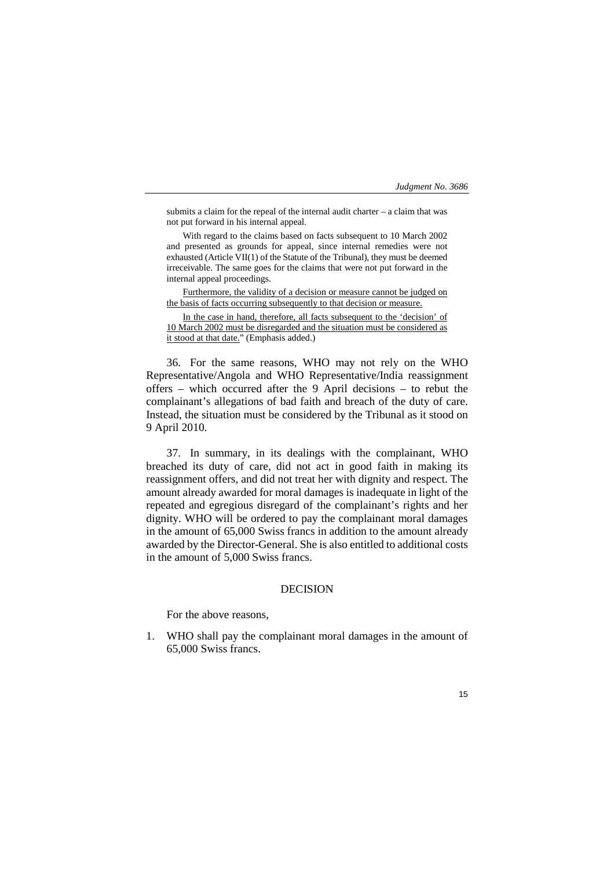submits a claim for the repeal of the internal audit charter – a claim that was not put forward in his internal appeal.

With regard to the claims based on facts subsequent to 10 March 2002 and presented as grounds for appeal, since internal remedies were not exhausted (Article VII(1) of the Statute of the Tribunal), they must be deemed irreceivable. The same goes for the claims that were not put forward in the internal appeal proceedings.

Furthermore, the validity of a decision or measure cannot be judged on the basis of facts occurring subsequently to that decision or measure.

In the case in hand, therefore, all facts subsequent to the 'decision' of 10 March 2002 must be disregarded and the situation must be considered as it stood at that date." (Emphasis added.)

36. For the same reasons, WHO may not rely on the WHO Representative/Angola and WHO Representative/India reassignment offers – which occurred after the 9 April decisions – to rebut the complainant's allegations of bad faith and breach of the duty of care. Instead, the situation must be considered by the Tribunal as it stood on 9 April 2010.

37. In summary, in its dealings with the complainant, WHO breached its duty of care, did not act in good faith in making its reassignment offers, and did not treat her with dignity and respect. The amount already awarded for moral damages is inadequate in light of the repeated and egregious disregard of the complainant's rights and her dignity. WHO will be ordered to pay the complainant moral damages in the amount of 65,000 Swiss francs in addition to the amount already awarded by the Director-General. She is also entitled to additional costs in the amount of 5,000 Swiss francs.

# DECISION

For the above reasons,

1. WHO shall pay the complainant moral damages in the amount of 65,000 Swiss francs.